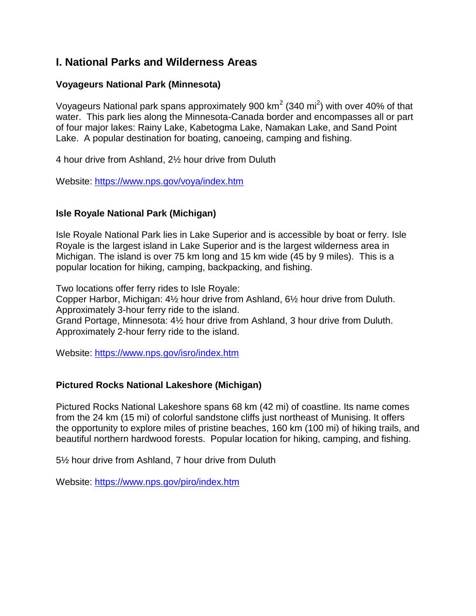# **I. National Parks and Wilderness Areas**

# **Voyageurs National Park (Minnesota)**

Voyageurs National park spans approximately 900 km<sup>2</sup> (340 mi<sup>2</sup>) with over 40% of that water. This park lies along the Minnesota-Canada border and encompasses all or part of four major lakes: Rainy Lake, Kabetogma Lake, Namakan Lake, and Sand Point Lake. A popular destination for boating, canoeing, camping and fishing.

4 hour drive from Ashland, 2½ hour drive from Duluth

Website:<https://www.nps.gov/voya/index.htm>

# **Isle Royale National Park (Michigan)**

Isle Royale National Park lies in Lake Superior and is accessible by boat or ferry. Isle Royale is the largest island in Lake Superior and is the largest wilderness area in Michigan. The island is over 75 km long and 15 km wide (45 by 9 miles). This is a popular location for hiking, camping, backpacking, and fishing.

Two locations offer ferry rides to Isle Royale:

Copper Harbor, Michigan: 4½ hour drive from Ashland, 6½ hour drive from Duluth. Approximately 3-hour ferry ride to the island. Grand Portage, Minnesota: 4½ hour drive from Ashland, 3 hour drive from Duluth. Approximately 2-hour ferry ride to the island.

Website:<https://www.nps.gov/isro/index.htm>

# **Pictured Rocks National Lakeshore (Michigan)**

Pictured Rocks National Lakeshore spans 68 km (42 mi) of coastline. Its name comes from the 24 km (15 mi) of colorful sandstone cliffs just northeast of Munising. It offers the opportunity to explore miles of pristine beaches, 160 km (100 mi) of hiking trails, and beautiful northern hardwood forests. Popular location for hiking, camping, and fishing.

5½ hour drive from Ashland, 7 hour drive from Duluth

Website:<https://www.nps.gov/piro/index.htm>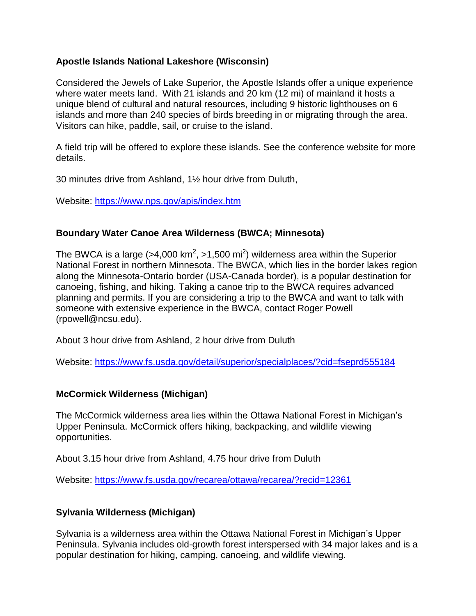#### **Apostle Islands National Lakeshore (Wisconsin)**

Considered the Jewels of Lake Superior, the Apostle Islands offer a unique experience where water meets land. With 21 islands and 20 km (12 mi) of mainland it hosts a unique blend of cultural and natural resources, including 9 historic lighthouses on 6 islands and more than 240 species of birds breeding in or migrating through the area. Visitors can hike, paddle, sail, or cruise to the island.

A field trip will be offered to explore these islands. See the conference website for more details.

30 minutes drive from Ashland, 1½ hour drive from Duluth,

Website:<https://www.nps.gov/apis/index.htm>

#### **Boundary Water Canoe Area Wilderness (BWCA; Minnesota)**

The BWCA is a large (>4,000 km<sup>2</sup>, >1,500 mi<sup>2</sup>) wilderness area within the Superior National Forest in northern Minnesota. The BWCA, which lies in the border lakes region along the Minnesota-Ontario border (USA-Canada border), is a popular destination for canoeing, fishing, and hiking. Taking a canoe trip to the BWCA requires advanced planning and permits. If you are considering a trip to the BWCA and want to talk with someone with extensive experience in the BWCA, contact Roger Powell (rpowell@ncsu.edu).

About 3 hour drive from Ashland, 2 hour drive from Duluth

Website:<https://www.fs.usda.gov/detail/superior/specialplaces/?cid=fseprd555184>

# **McCormick Wilderness (Michigan)**

The McCormick wilderness area lies within the Ottawa National Forest in Michigan's Upper Peninsula. McCormick offers hiking, backpacking, and wildlife viewing opportunities.

About 3.15 hour drive from Ashland, 4.75 hour drive from Duluth

Website:<https://www.fs.usda.gov/recarea/ottawa/recarea/?recid=12361>

# **Sylvania Wilderness (Michigan)**

Sylvania is a wilderness area within the Ottawa National Forest in Michigan's Upper Peninsula. Sylvania includes old-growth forest interspersed with 34 major lakes and is a popular destination for hiking, camping, canoeing, and wildlife viewing.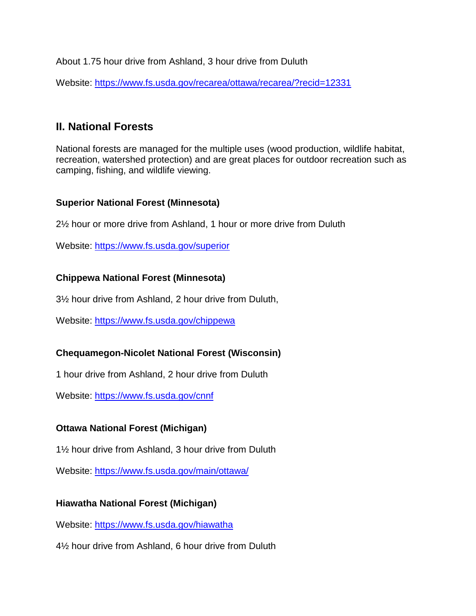About 1.75 hour drive from Ashland, 3 hour drive from Duluth

Website: [https://www.fs.usda.gov/recarea/ottawa/recarea/?recid=12331](https://www.fs.usda.gov/recarea/ottawa/recarea/?recid=12331%20)

# **II. National Forests**

National forests are managed for the multiple uses (wood production, wildlife habitat, recreation, watershed protection) and are great places for outdoor recreation such as camping, fishing, and wildlife viewing.

# **Superior National Forest (Minnesota)**

2½ hour or more drive from Ashland, 1 hour or more drive from Duluth

Website:<https://www.fs.usda.gov/superior>

# **Chippewa National Forest (Minnesota)**

3½ hour drive from Ashland, 2 hour drive from Duluth,

Website:<https://www.fs.usda.gov/chippewa>

# **Chequamegon-Nicolet National Forest (Wisconsin)**

1 hour drive from Ashland, 2 hour drive from Duluth

Website:<https://www.fs.usda.gov/cnnf>

# **Ottawa National Forest (Michigan)**

1½ hour drive from Ashland, 3 hour drive from Duluth

Website:<https://www.fs.usda.gov/main/ottawa/>

# **Hiawatha National Forest (Michigan)**

Website:<https://www.fs.usda.gov/hiawatha>

4½ hour drive from Ashland, 6 hour drive from Duluth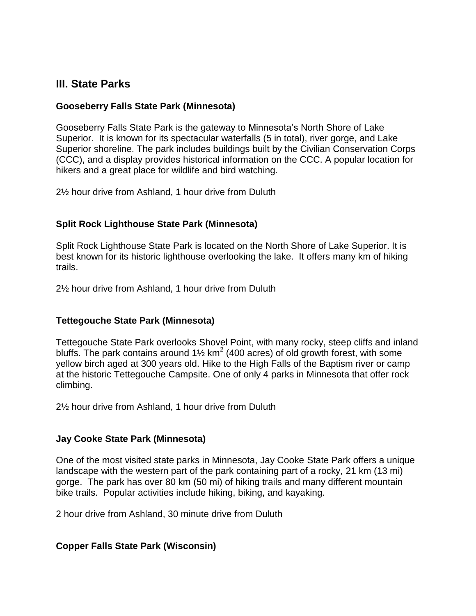# **III. State Parks**

#### **Gooseberry Falls State Park (Minnesota)**

Gooseberry Falls State Park is the gateway to Minnesota's North Shore of Lake Superior. It is known for its spectacular waterfalls (5 in total), river gorge, and Lake Superior shoreline. The park includes buildings built by the Civilian Conservation Corps (CCC), and a display provides historical information on the CCC. A popular location for hikers and a great place for wildlife and bird watching.

2½ hour drive from Ashland, 1 hour drive from Duluth

#### **Split Rock Lighthouse State Park (Minnesota)**

Split Rock Lighthouse State Park is located on the North Shore of Lake Superior. It is best known for its historic lighthouse overlooking the lake. It offers many km of hiking trails.

2½ hour drive from Ashland, 1 hour drive from Duluth

#### **Tettegouche State Park (Minnesota)**

Tettegouche State Park overlooks Shovel Point, with many rocky, steep cliffs and inland bluffs. The park contains around 1 $\frac{1}{2}$  km<sup>2</sup> (400 acres) of old growth forest, with some yellow birch aged at 300 years old. Hike to the High Falls of the Baptism river or camp at the historic Tettegouche Campsite. One of only 4 parks in Minnesota that offer rock climbing.

2½ hour drive from Ashland, 1 hour drive from Duluth

#### **Jay Cooke State Park (Minnesota)**

One of the most visited state parks in Minnesota, Jay Cooke State Park offers a unique landscape with the western part of the park containing part of a rocky, 21 km (13 mi) gorge. The park has over 80 km (50 mi) of hiking trails and many different mountain bike trails. Popular activities include hiking, biking, and kayaking.

2 hour drive from Ashland, 30 minute drive from Duluth

#### **Copper Falls State Park (Wisconsin)**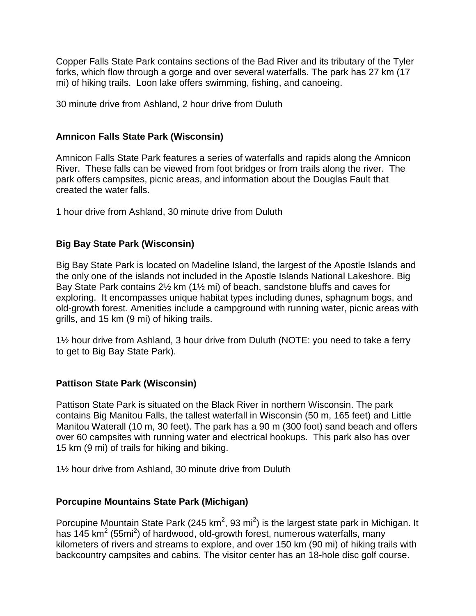Copper Falls State Park contains sections of the Bad River and its tributary of the Tyler forks, which flow through a gorge and over several waterfalls. The park has 27 km (17 mi) of hiking trails. Loon lake offers swimming, fishing, and canoeing.

30 minute drive from Ashland, 2 hour drive from Duluth

### **Amnicon Falls State Park (Wisconsin)**

Amnicon Falls State Park features a series of waterfalls and rapids along the Amnicon River. These falls can be viewed from foot bridges or from trails along the river. The park offers campsites, picnic areas, and information about the Douglas Fault that created the water falls.

1 hour drive from Ashland, 30 minute drive from Duluth

# **Big Bay State Park (Wisconsin)**

Big Bay State Park is located on Madeline Island, the largest of the Apostle Islands and the only one of the islands not included in the Apostle Islands National Lakeshore. Big Bay State Park contains 2½ km (1½ mi) of beach, sandstone bluffs and caves for exploring. It encompasses unique habitat types including dunes, sphagnum bogs, and old-growth forest. Amenities include a campground with running water, picnic areas with grills, and 15 km (9 mi) of hiking trails.

1½ hour drive from Ashland, 3 hour drive from Duluth (NOTE: you need to take a ferry to get to Big Bay State Park).

# **Pattison State Park (Wisconsin)**

Pattison State Park is situated on the Black River in northern Wisconsin. The park contains Big Manitou Falls, the tallest waterfall in Wisconsin (50 m, 165 feet) and Little Manitou Waterall (10 m, 30 feet). The park has a 90 m (300 foot) sand beach and offers over 60 campsites with running water and electrical hookups. This park also has over 15 km (9 mi) of trails for hiking and biking.

1½ hour drive from Ashland, 30 minute drive from Duluth

# **Porcupine Mountains State Park (Michigan)**

Porcupine Mountain State Park (245 km<sup>2</sup>, 93 mi<sup>2</sup>) is the largest state park in Michigan. It has 145 km<sup>2</sup> (55mi<sup>2</sup>) of hardwood, old-growth forest, numerous waterfalls, many kilometers of rivers and streams to explore, and over 150 km (90 mi) of hiking trails with backcountry campsites and cabins. The visitor center has an 18-hole disc golf course.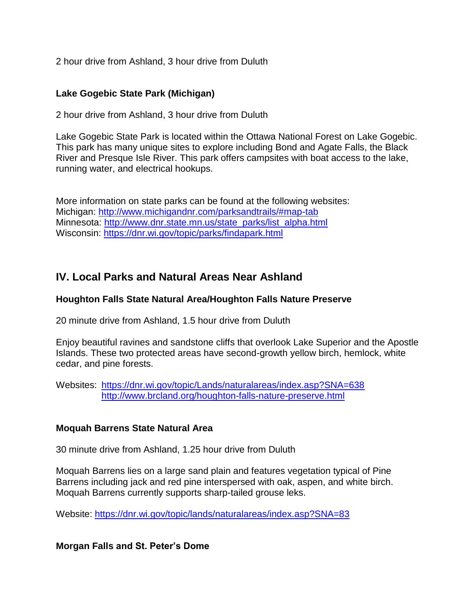2 hour drive from Ashland, 3 hour drive from Duluth

### **Lake Gogebic State Park (Michigan)**

2 hour drive from Ashland, 3 hour drive from Duluth

Lake Gogebic State Park is located within the Ottawa National Forest on Lake Gogebic. This park has many unique sites to explore including Bond and Agate Falls, the Black River and Presque Isle River. This park offers campsites with boat access to the lake, running water, and electrical hookups.

More information on state parks can be found at the following websites: Michigan: <http://www.michigandnr.com/parksandtrails/#map-tab> Minnesota: [http://www.dnr.state.mn.us/state\\_parks/list\\_alpha.html](http://www.dnr.state.mn.us/state_parks/list_alpha.html) Wisconsin: <https://dnr.wi.gov/topic/parks/findapark.html>

# **IV. Local Parks and Natural Areas Near Ashland**

#### **Houghton Falls State Natural Area/Houghton Falls Nature Preserve**

20 minute drive from Ashland, 1.5 hour drive from Duluth

Eniov beautiful ravines and sandstone cliffs that overlook Lake Superior and the Apostle Islands. These two protected areas have second-growth yellow birch, hemlock, white cedar, and pine forests.

Websites:<https://dnr.wi.gov/topic/Lands/naturalareas/index.asp?SNA=638> <http://www.brcland.org/houghton-falls-nature-preserve.html>

#### **Moquah Barrens State Natural Area**

30 minute drive from Ashland, 1.25 hour drive from Duluth

Moquah Barrens lies on a large sand plain and features vegetation typical of Pine Barrens including jack and red pine interspersed with oak, aspen, and white birch. Moquah Barrens currently supports sharp-tailed grouse leks.

Website:<https://dnr.wi.gov/topic/lands/naturalareas/index.asp?SNA=83>

**Morgan Falls and St. Peter's Dome**